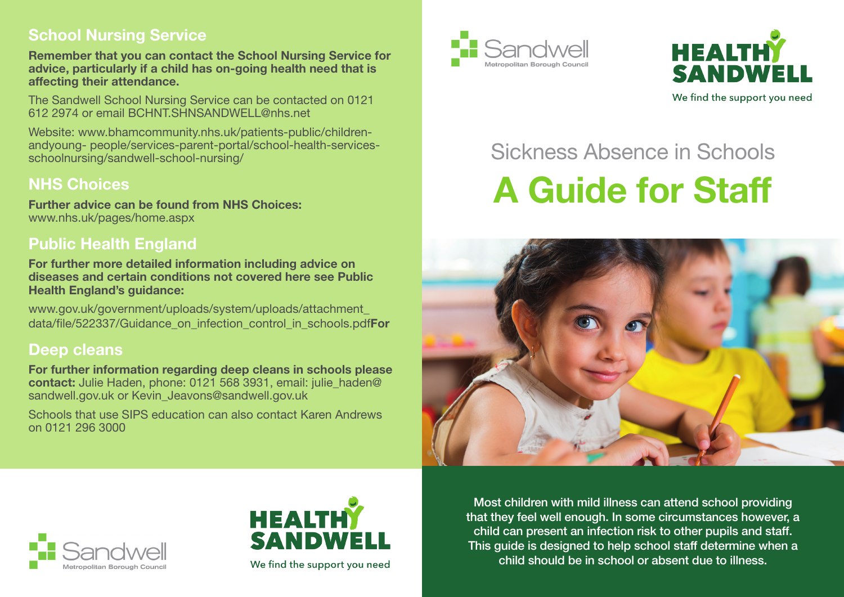#### **School Nursing Service**

**Remember that you can contact the School Nursing Service for advice, particularly if a child has on-going health need that is affecting their attendance.**

The Sandwell School Nursing Service can be contacted on 0121 612 2974 or email BCHNT.SHNSANDWELL@nhs.net

Website: www.bhamcommunity.nhs.uk/patients-public/childrenandyoung- people/services-parent-portal/school-health-servicesschoolnursing/sandwell-school-nursing/

## **NHS Choices**

**Further advice can be found from NHS Choices:** www.nhs.uk/pages/home.aspx

### **Public Health England**

**For further more detailed information including advice on diseases and certain conditions not covered here see Public Health England's guidance:**

www.gov.uk/government/uploads/system/uploads/attachment\_ data/file/522337/Guidance\_on\_infection\_control\_in\_schools.pdf**For** 

#### **Deep cleans**

**For further information regarding deep cleans in schools please contact:** Julie Haden, phone: 0121 568 3931, email: julie\_haden@ sandwell.gov.uk or Kevin Jeavons@sandwell.gov.uk

Schools that use SIPS education can also contact Karen Andrews on 0121 296 3000





# Sickness Absence in Schools **A Guide for Staff**







We find the support you need

Most children with mild illness can attend school providing that they feel well enough. In some circumstances however, a child can present an infection risk to other pupils and staff. This guide is designed to help school staff determine when a child should be in school or absent due to illness.